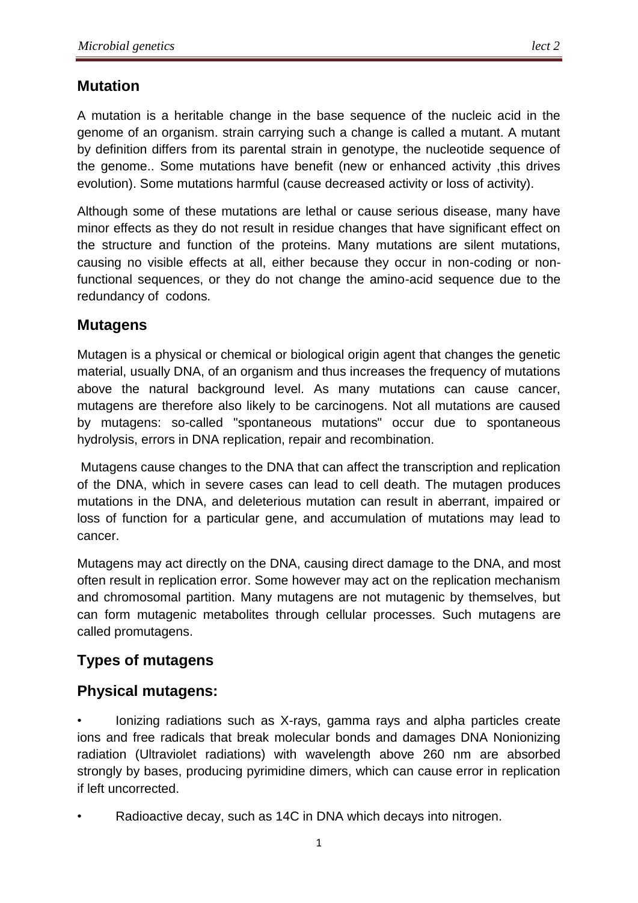## **Mutation**

A mutation is a heritable change in the base sequence of the nucleic acid in the genome of an organism. strain carrying such a change is called a mutant. A mutant by definition differs from its parental strain in genotype, the nucleotide sequence of the genome.. Some mutations have benefit (new or enhanced activity ,this drives evolution). Some mutations harmful (cause decreased activity or loss of activity).

Although some of these mutations are lethal or cause serious disease, many have minor effects as they do not result in residue changes that have significant effect on the structure and function of the proteins. Many mutations are silent mutations, causing no visible effects at all, either because they occur in non-coding or nonfunctional sequences, or they do not change the amino-acid sequence due to the redundancy of codons.

## **Mutagens**

Mutagen is a physical or chemical or biological origin agent that changes the genetic material, usually DNA, of an organism and thus increases the frequency of mutations above the natural background level. As many mutations can cause cancer, mutagens are therefore also likely to be carcinogens. Not all mutations are caused by mutagens: so-called "spontaneous mutations" occur due to spontaneous hydrolysis, errors in DNA replication, repair and recombination.

Mutagens cause changes to the DNA that can affect the transcription and replication of the DNA, which in severe cases can lead to cell death. The mutagen produces mutations in the DNA, and deleterious mutation can result in aberrant, impaired or loss of function for a particular gene, and accumulation of mutations may lead to cancer.

Mutagens may act directly on the DNA, causing direct damage to the DNA, and most often result in replication error. Some however may act on the replication mechanism and chromosomal partition. Many mutagens are not mutagenic by themselves, but can form mutagenic metabolites through cellular processes. Such mutagens are called promutagens.

# **Types of mutagens**

## **Physical mutagens:**

• Ionizing radiations such as X-rays, gamma rays and alpha particles create ions and free radicals that break molecular bonds and damages DNA Nonionizing radiation (Ultraviolet radiations) with wavelength above 260 nm are absorbed strongly by bases, producing pyrimidine dimers, which can cause error in replication if left uncorrected.

Radioactive decay, such as 14C in DNA which decays into nitrogen.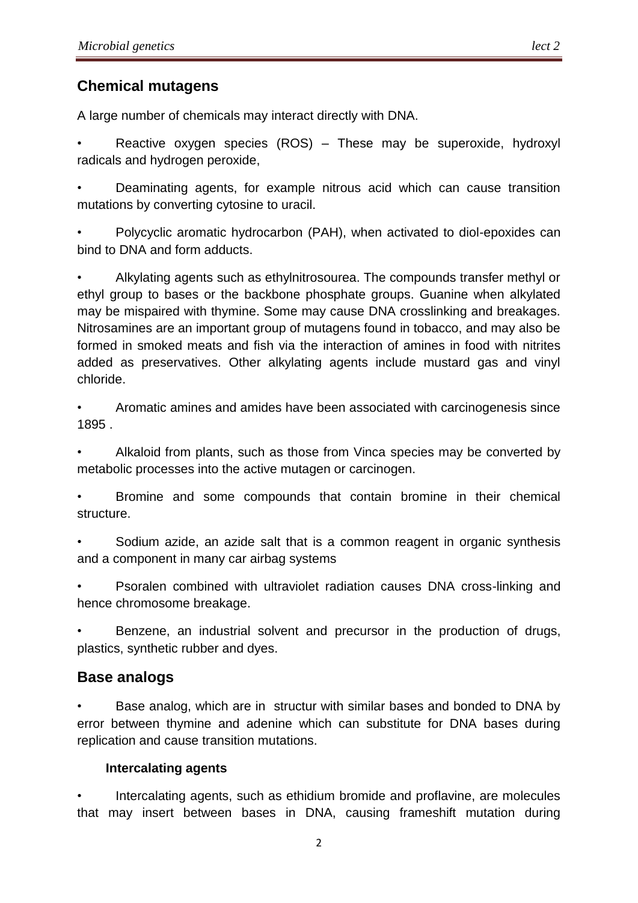#### **Chemical mutagens**

A large number of chemicals may interact directly with DNA.

• Reactive oxygen species (ROS) – These may be superoxide, hydroxyl radicals and hydrogen peroxide,

• Deaminating agents, for example nitrous acid which can cause transition mutations by converting cytosine to uracil.

• Polycyclic aromatic hydrocarbon (PAH), when activated to diol-epoxides can bind to DNA and form adducts.

• Alkylating agents such as ethylnitrosourea. The compounds transfer methyl or ethyl group to bases or the backbone phosphate groups. Guanine when alkylated may be mispaired with thymine. Some may cause DNA crosslinking and breakages. Nitrosamines are an important group of mutagens found in tobacco, and may also be formed in smoked meats and fish via the interaction of amines in food with nitrites added as preservatives. Other alkylating agents include mustard gas and vinyl chloride.

• Aromatic amines and amides have been associated with carcinogenesis since 1895 .

• Alkaloid from plants, such as those from Vinca species may be converted by metabolic processes into the active mutagen or carcinogen.

• Bromine and some compounds that contain bromine in their chemical structure.

Sodium azide, an azide salt that is a common reagent in organic synthesis and a component in many car airbag systems

• Psoralen combined with ultraviolet radiation causes DNA cross-linking and hence chromosome breakage.

• Benzene, an industrial solvent and precursor in the production of drugs, plastics, synthetic rubber and dyes.

## **Base analogs**

• Base analog, which are in structur with similar bases and bonded to DNA by error between thymine and adenine which can substitute for DNA bases during replication and cause transition mutations.

#### **Intercalating agents**

• Intercalating agents, such as ethidium bromide and proflavine, are molecules that may insert between bases in DNA, causing frameshift mutation during